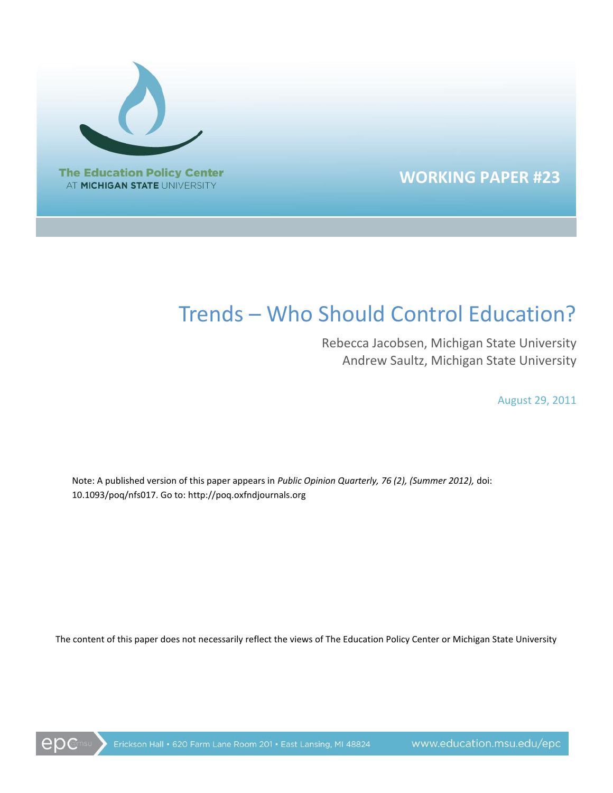

## **WORKING PAPER #23**

# Trends – Who Should Control Education?

Rebecca Jacobsen, Michigan State University Andrew Saultz, Michigan State University

August 29, 2011

Note: A published version of this paper appears in *Public Opinion Quarterly, 76 (2), (Summer 2012),* doi: 10.1093/poq/nfs017. Go to: http://poq.oxfndjournals.org

The content of this paper does not necessarily reflect the views of The Education Policy Center or Michigan State University

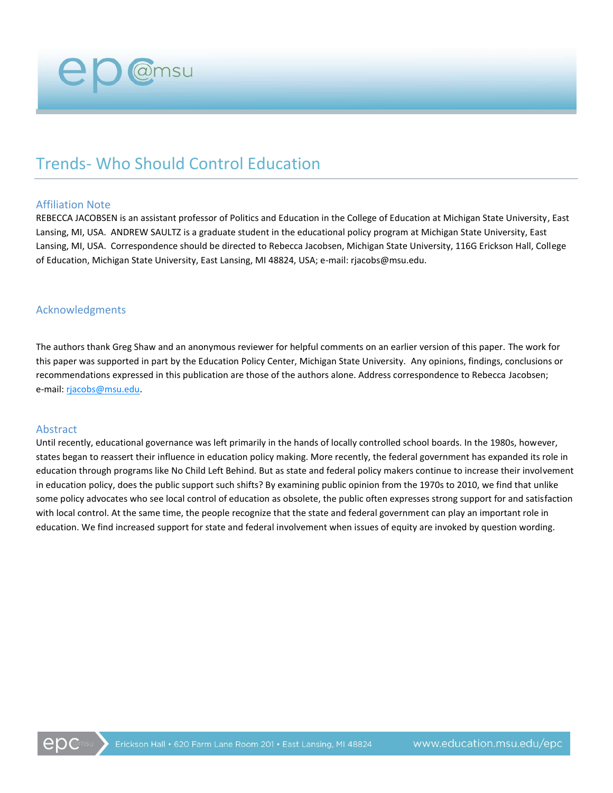# Trends- Who Should Control Education

#### Affiliation Note

REBECCA JACOBSEN is an assistant professor of Politics and Education in the College of Education at Michigan State University, East Lansing, MI, USA. ANDREW SAULTZ is a graduate student in the educational policy program at Michigan State University, East Lansing, MI, USA. Correspondence should be directed to Rebecca Jacobsen, Michigan State University, 116G Erickson Hall, College of Education, Michigan State University, East Lansing, MI 48824, USA; e-mail: rjacobs@msu.edu.

#### Acknowledgments

The authors thank Greg Shaw and an anonymous reviewer for helpful comments on an earlier version of this paper. The work for this paper was supported in part by the Education Policy Center, Michigan State University. Any opinions, findings, conclusions or recommendations expressed in this publication are those of the authors alone. Address correspondence to Rebecca Jacobsen; e-mail: [rjacobs@msu.edu.](mailto:rjacobs@msu.edu)

#### Abstract

Until recently, educational governance was left primarily in the hands of locally controlled school boards. In the 1980s, however, states began to reassert their influence in education policy making. More recently, the federal government has expanded its role in education through programs like No Child Left Behind. But as state and federal policy makers continue to increase their involvement in education policy, does the public support such shifts? By examining public opinion from the 1970s to 2010, we find that unlike some policy advocates who see local control of education as obsolete, the public often expresses strong support for and satisfaction with local control. At the same time, the people recognize that the state and federal government can play an important role in education. We find increased support for state and federal involvement when issues of equity are invoked by question wording.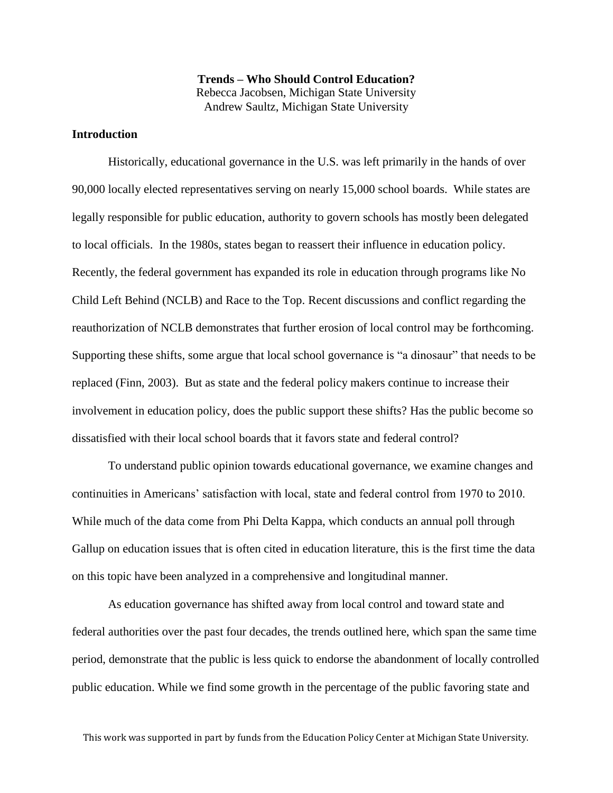**Trends – Who Should Control Education?** Rebecca Jacobsen, Michigan State University Andrew Saultz, Michigan State University

#### **Introduction**

Historically, educational governance in the U.S. was left primarily in the hands of over 90,000 locally elected representatives serving on nearly 15,000 school boards. While states are legally responsible for public education, authority to govern schools has mostly been delegated to local officials. In the 1980s, states began to reassert their influence in education policy. Recently, the federal government has expanded its role in education through programs like No Child Left Behind (NCLB) and Race to the Top. Recent discussions and conflict regarding the reauthorization of NCLB demonstrates that further erosion of local control may be forthcoming. Supporting these shifts, some argue that local school governance is "a dinosaur" that needs to be replaced (Finn, 2003). But as state and the federal policy makers continue to increase their involvement in education policy, does the public support these shifts? Has the public become so dissatisfied with their local school boards that it favors state and federal control?

To understand public opinion towards educational governance, we examine changes and continuities in Americans' satisfaction with local, state and federal control from 1970 to 2010. While much of the data come from Phi Delta Kappa, which conducts an annual poll through Gallup on education issues that is often cited in education literature, this is the first time the data on this topic have been analyzed in a comprehensive and longitudinal manner.

As education governance has shifted away from local control and toward state and federal authorities over the past four decades, the trends outlined here, which span the same time period, demonstrate that the public is less quick to endorse the abandonment of locally controlled public education. While we find some growth in the percentage of the public favoring state and

This work was supported in part by funds from the Education Policy Center at Michigan State University.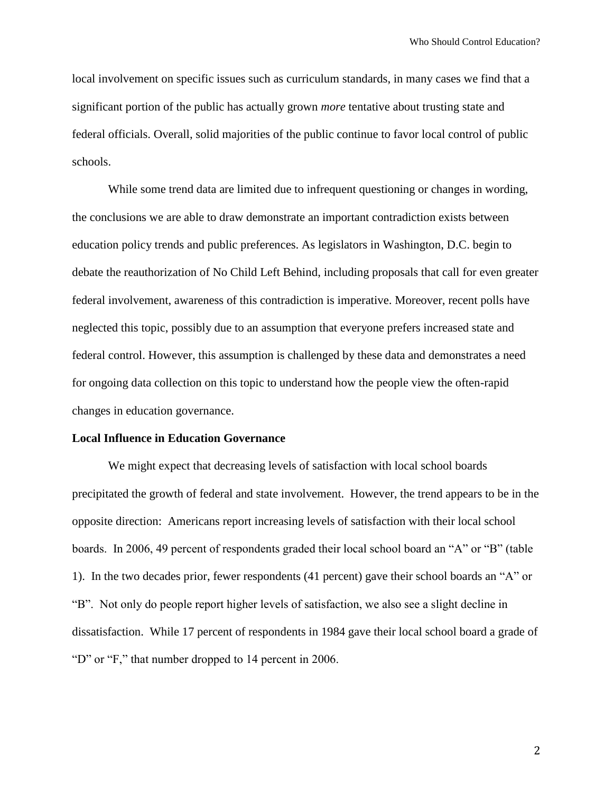local involvement on specific issues such as curriculum standards, in many cases we find that a significant portion of the public has actually grown *more* tentative about trusting state and federal officials. Overall, solid majorities of the public continue to favor local control of public schools.

While some trend data are limited due to infrequent questioning or changes in wording, the conclusions we are able to draw demonstrate an important contradiction exists between education policy trends and public preferences. As legislators in Washington, D.C. begin to debate the reauthorization of No Child Left Behind, including proposals that call for even greater federal involvement, awareness of this contradiction is imperative. Moreover, recent polls have neglected this topic, possibly due to an assumption that everyone prefers increased state and federal control. However, this assumption is challenged by these data and demonstrates a need for ongoing data collection on this topic to understand how the people view the often-rapid changes in education governance.

#### **Local Influence in Education Governance**

We might expect that decreasing levels of satisfaction with local school boards precipitated the growth of federal and state involvement. However, the trend appears to be in the opposite direction: Americans report increasing levels of satisfaction with their local school boards. In 2006, 49 percent of respondents graded their local school board an "A" or "B" (table 1). In the two decades prior, fewer respondents (41 percent) gave their school boards an "A" or "B". Not only do people report higher levels of satisfaction, we also see a slight decline in dissatisfaction. While 17 percent of respondents in 1984 gave their local school board a grade of "D" or "F," that number dropped to 14 percent in 2006.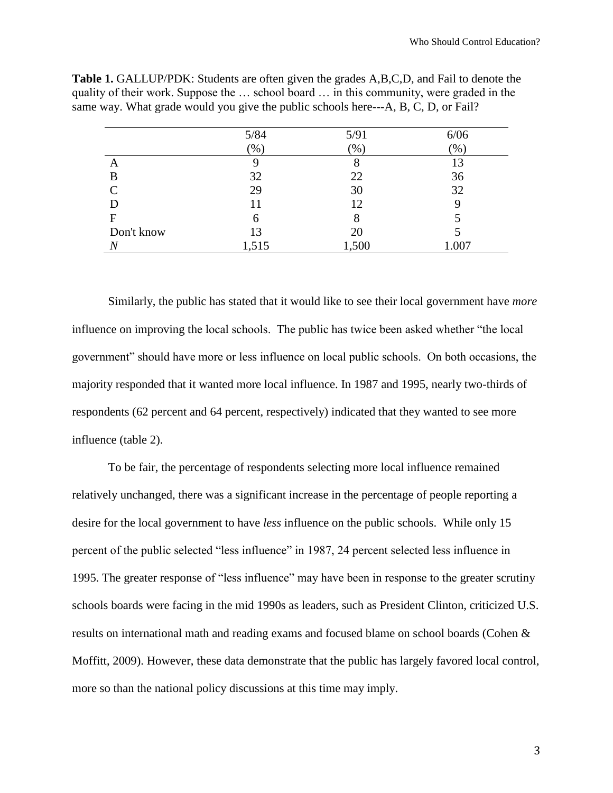|                             | $5/84$ | $5/91$ | 6/06          |
|-----------------------------|--------|--------|---------------|
|                             | (96)   | (%)    | $\frac{9}{6}$ |
| A                           |        | 8      | 13            |
| B                           | 32     | 22     | 36            |
| $\mathcal{C}_{\mathcal{C}}$ | 29     | 30     | 32            |
| D                           | 11     | 12     |               |
| F                           | h      | 8      |               |
| Don't know                  | 13     | 20     |               |
|                             | 1,515  | 1,500  | 1.007         |

**Table 1.** GALLUP/PDK: Students are often given the grades A,B,C,D, and Fail to denote the quality of their work. Suppose the … school board … in this community, were graded in the same way. What grade would you give the public schools here---A, B, C, D, or Fail?

Similarly, the public has stated that it would like to see their local government have *more* influence on improving the local schools. The public has twice been asked whether "the local government" should have more or less influence on local public schools. On both occasions, the majority responded that it wanted more local influence. In 1987 and 1995, nearly two-thirds of respondents (62 percent and 64 percent, respectively) indicated that they wanted to see more influence (table 2).

To be fair, the percentage of respondents selecting more local influence remained relatively unchanged, there was a significant increase in the percentage of people reporting a desire for the local government to have *less* influence on the public schools. While only 15 percent of the public selected "less influence" in 1987, 24 percent selected less influence in 1995. The greater response of "less influence" may have been in response to the greater scrutiny schools boards were facing in the mid 1990s as leaders, such as President Clinton, criticized U.S. results on international math and reading exams and focused blame on school boards (Cohen & Moffitt, 2009). However, these data demonstrate that the public has largely favored local control, more so than the national policy discussions at this time may imply.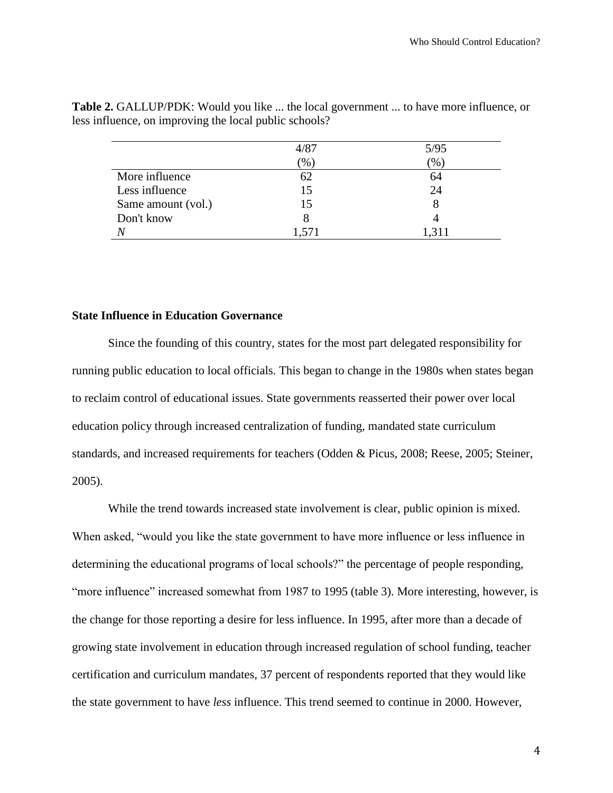|                    | 4/87            | 5/95         |
|--------------------|-----------------|--------------|
|                    | $\mathcal{O}_0$ | $\gamma_0$ , |
| More influence     |                 | 64           |
| Less influence     | 15              | 24           |
| Same amount (vol.) | 15              |              |
| Don't know         |                 |              |
|                    | 1,571           | 1.311        |

**Table 2.** GALLUP/PDK: Would you like ... the local government ... to have more influence, or less influence, on improving the local public schools?

#### **State Influence in Education Governance**

Since the founding of this country, states for the most part delegated responsibility for running public education to local officials. This began to change in the 1980s when states began to reclaim control of educational issues. State governments reasserted their power over local education policy through increased centralization of funding, mandated state curriculum standards, and increased requirements for teachers (Odden & Picus, 2008; Reese, 2005; Steiner, 2005).

While the trend towards increased state involvement is clear, public opinion is mixed. When asked, "would you like the state government to have more influence or less influence in determining the educational programs of local schools?" the percentage of people responding, "more influence" increased somewhat from 1987 to 1995 (table 3). More interesting, however, is the change for those reporting a desire for less influence. In 1995, after more than a decade of growing state involvement in education through increased regulation of school funding, teacher certification and curriculum mandates, 37 percent of respondents reported that they would like the state government to have *less* influence. This trend seemed to continue in 2000. However,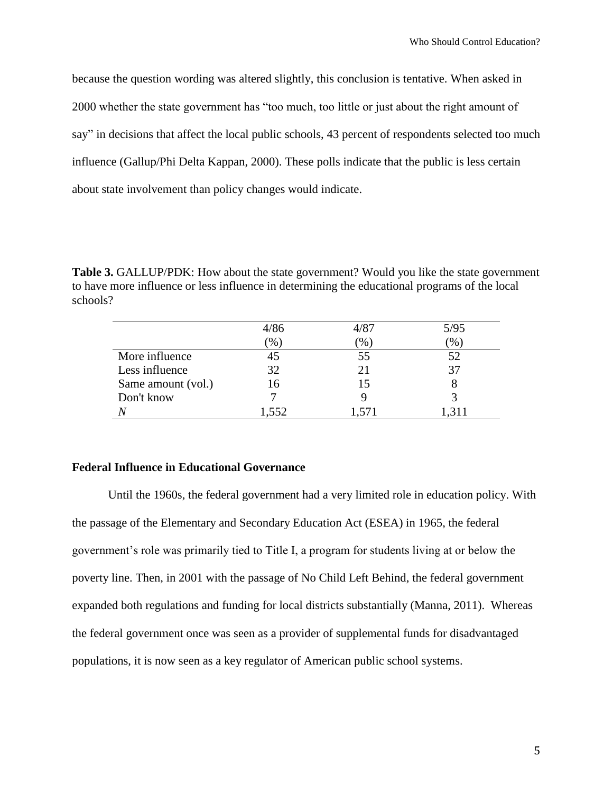because the question wording was altered slightly, this conclusion is tentative. When asked in 2000 whether the state government has "too much, too little or just about the right amount of say" in decisions that affect the local public schools, 43 percent of respondents selected too much influence (Gallup/Phi Delta Kappan, 2000). These polls indicate that the public is less certain about state involvement than policy changes would indicate.

**Table 3.** GALLUP/PDK: How about the state government? Would you like the state government to have more influence or less influence in determining the educational programs of the local schools?

|                    | 4/86          | 4/87            | 5/95 |
|--------------------|---------------|-----------------|------|
|                    | $\frac{1}{2}$ | $\mathcal{O}_0$ | $\%$ |
| More influence     | 45            | 55              | 52   |
| Less influence     | 32            | 21              | 37   |
| Same amount (vol.) | 16            |                 |      |
| Don't know         |               |                 |      |
|                    | 1,552         | l.571           |      |

#### **Federal Influence in Educational Governance**

Until the 1960s, the federal government had a very limited role in education policy. With the passage of the Elementary and Secondary Education Act (ESEA) in 1965, the federal government's role was primarily tied to Title I, a program for students living at or below the poverty line. Then, in 2001 with the passage of No Child Left Behind, the federal government expanded both regulations and funding for local districts substantially (Manna, 2011). Whereas the federal government once was seen as a provider of supplemental funds for disadvantaged populations, it is now seen as a key regulator of American public school systems.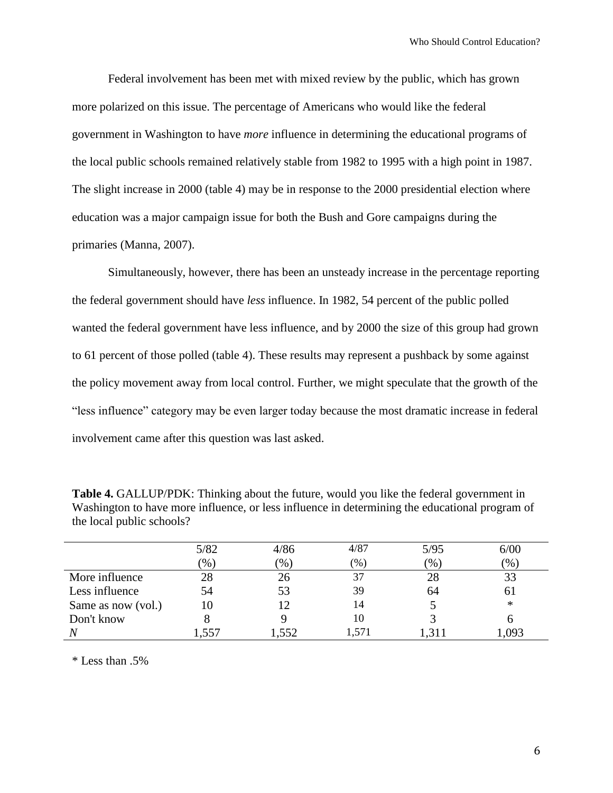Federal involvement has been met with mixed review by the public, which has grown more polarized on this issue. The percentage of Americans who would like the federal government in Washington to have *more* influence in determining the educational programs of the local public schools remained relatively stable from 1982 to 1995 with a high point in 1987. The slight increase in 2000 (table 4) may be in response to the 2000 presidential election where education was a major campaign issue for both the Bush and Gore campaigns during the primaries (Manna, 2007).

Simultaneously, however, there has been an unsteady increase in the percentage reporting the federal government should have *less* influence. In 1982, 54 percent of the public polled wanted the federal government have less influence, and by 2000 the size of this group had grown to 61 percent of those polled (table 4). These results may represent a pushback by some against the policy movement away from local control. Further, we might speculate that the growth of the "less influence" category may be even larger today because the most dramatic increase in federal involvement came after this question was last asked.

| <b>Table 4.</b> GALLUP/PDK: Thinking about the future, would you like the federal government in |
|-------------------------------------------------------------------------------------------------|
| Washington to have more influence, or less influence in determining the educational program of  |
| the local public schools?                                                                       |

|                    | 5/82   | 4/86   | 4/87          | 5/95          | 6/00          |
|--------------------|--------|--------|---------------|---------------|---------------|
|                    | $(\%)$ | $(\%)$ | $\frac{9}{6}$ | $\frac{1}{2}$ | $\frac{9}{6}$ |
| More influence     | 28     | 26     | 37            | 28            |               |
| Less influence     | 54     | 53     | 39            | 64            | 61            |
| Same as now (vol.) | 10     | 12     | 14            |               | $\ast$        |
| Don't know         |        |        | 10            |               |               |
| $\overline{N}$     | .557   | .552   | 1.571         |               | ,093          |

\* Less than .5%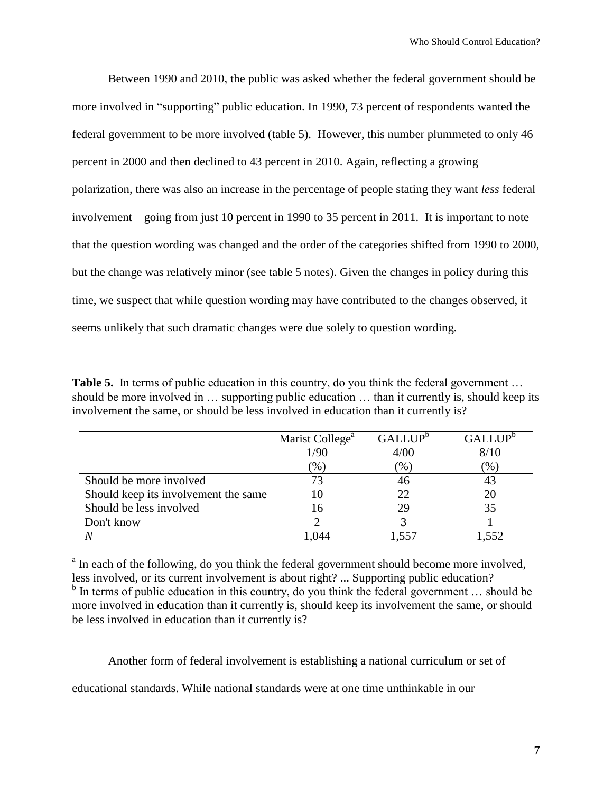Between 1990 and 2010, the public was asked whether the federal government should be more involved in "supporting" public education. In 1990, 73 percent of respondents wanted the federal government to be more involved (table 5). However, this number plummeted to only 46 percent in 2000 and then declined to 43 percent in 2010. Again, reflecting a growing polarization, there was also an increase in the percentage of people stating they want *less* federal involvement – going from just 10 percent in 1990 to 35 percent in 2011. It is important to note that the question wording was changed and the order of the categories shifted from 1990 to 2000, but the change was relatively minor (see table 5 notes). Given the changes in policy during this time, we suspect that while question wording may have contributed to the changes observed, it seems unlikely that such dramatic changes were due solely to question wording.

**Table 5.** In terms of public education in this country, do you think the federal government ... should be more involved in … supporting public education … than it currently is, should keep its involvement the same, or should be less involved in education than it currently is?

|                                      | Marist College <sup>a</sup> | GALLUP <sup>b</sup> | GALLUP <sup>b</sup> |
|--------------------------------------|-----------------------------|---------------------|---------------------|
|                                      | 1/90                        | 4/00                | 8/10                |
|                                      | $(\% )$                     | $(\% )$             | $(\% )$             |
| Should be more involved              | 73                          | 46                  | 43                  |
| Should keep its involvement the same | 10                          | 22.                 | 20                  |
| Should be less involved              | 16                          | 29                  | 35                  |
| Don't know                           |                             |                     |                     |
|                                      |                             | -557                | -552                |

<sup>a</sup> In each of the following, do you think the federal government should become more involved, less involved, or its current involvement is about right? ... Supporting public education? <sup>b</sup> In terms of public education in this country, do you think the federal government ... should be more involved in education than it currently is, should keep its involvement the same, or should be less involved in education than it currently is?

Another form of federal involvement is establishing a national curriculum or set of

educational standards. While national standards were at one time unthinkable in our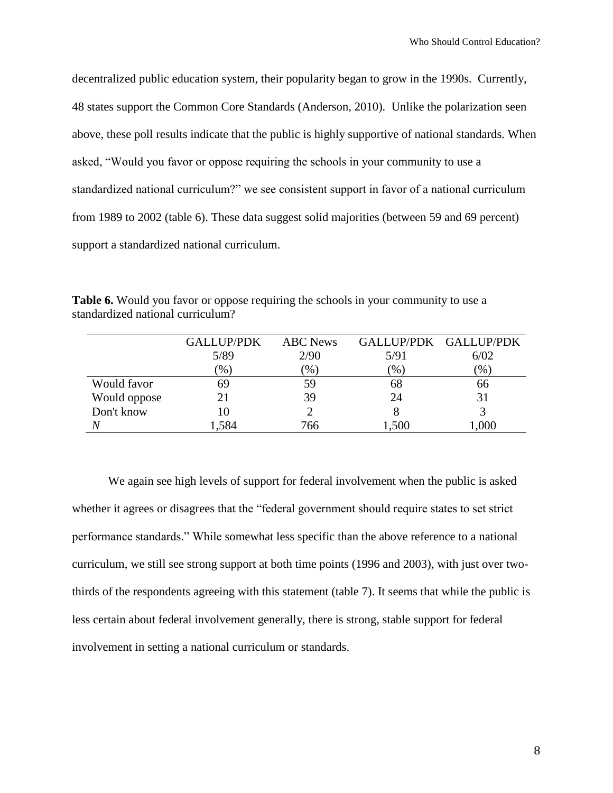decentralized public education system, their popularity began to grow in the 1990s. Currently, 48 states support the Common Core Standards (Anderson, 2010). Unlike the polarization seen above, these poll results indicate that the public is highly supportive of national standards. When asked, "Would you favor or oppose requiring the schools in your community to use a standardized national curriculum?" we see consistent support in favor of a national curriculum from 1989 to 2002 (table 6). These data suggest solid majorities (between 59 and 69 percent) support a standardized national curriculum.

|              | <b>GALLUP/PDK</b> | <b>ABC</b> News          |               | GALLUP/PDK GALLUP/PDK |
|--------------|-------------------|--------------------------|---------------|-----------------------|
|              | 5/89              | 2/90                     | 5/91          | 6/02                  |
|              | $\mathcal{C}_0$   | $\gamma$ <sup>(0</sup> ) | $\frac{9}{6}$ | $\mathcal{O}_0$ )     |
| Would favor  | 69                | 59                       | 68            | 66                    |
| Would oppose |                   | 39                       | 24            | 31                    |
| Don't know   | 10                |                          |               |                       |
|              | ,584              | 766                      | .500          | ,000                  |

**Table 6.** Would you favor or oppose requiring the schools in your community to use a standardized national curriculum?

We again see high levels of support for federal involvement when the public is asked whether it agrees or disagrees that the "federal government should require states to set strict performance standards." While somewhat less specific than the above reference to a national curriculum, we still see strong support at both time points (1996 and 2003), with just over twothirds of the respondents agreeing with this statement (table 7). It seems that while the public is less certain about federal involvement generally, there is strong, stable support for federal involvement in setting a national curriculum or standards.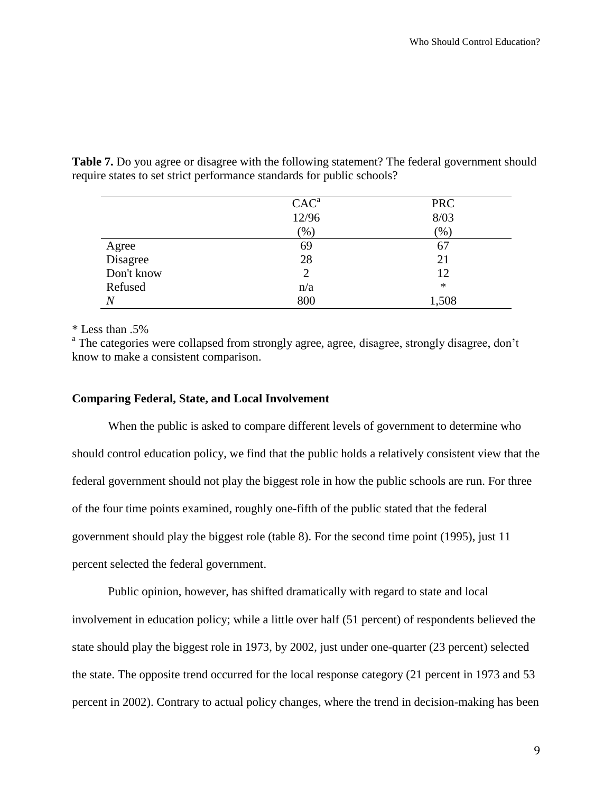|            | CAC <sup>a</sup> | <b>PRC</b> |
|------------|------------------|------------|
|            | 12/96            | 8/03       |
|            | (96)             | $(\% )$    |
| Agree      | 69               | 67         |
| Disagree   | 28               | 21         |
| Don't know |                  | 12         |
| Refused    | n/a              | $\ast$     |
| N          | 800              | 1,508      |

**Table 7.** Do you agree or disagree with the following statement? The federal government should require states to set strict performance standards for public schools?

\* Less than .5%

<sup>a</sup> The categories were collapsed from strongly agree, agree, disagree, strongly disagree, don't know to make a consistent comparison.

#### **Comparing Federal, State, and Local Involvement**

When the public is asked to compare different levels of government to determine who should control education policy, we find that the public holds a relatively consistent view that the federal government should not play the biggest role in how the public schools are run. For three of the four time points examined, roughly one-fifth of the public stated that the federal government should play the biggest role (table 8). For the second time point (1995), just 11 percent selected the federal government.

Public opinion, however, has shifted dramatically with regard to state and local involvement in education policy; while a little over half (51 percent) of respondents believed the state should play the biggest role in 1973, by 2002, just under one-quarter (23 percent) selected the state. The opposite trend occurred for the local response category (21 percent in 1973 and 53 percent in 2002). Contrary to actual policy changes, where the trend in decision-making has been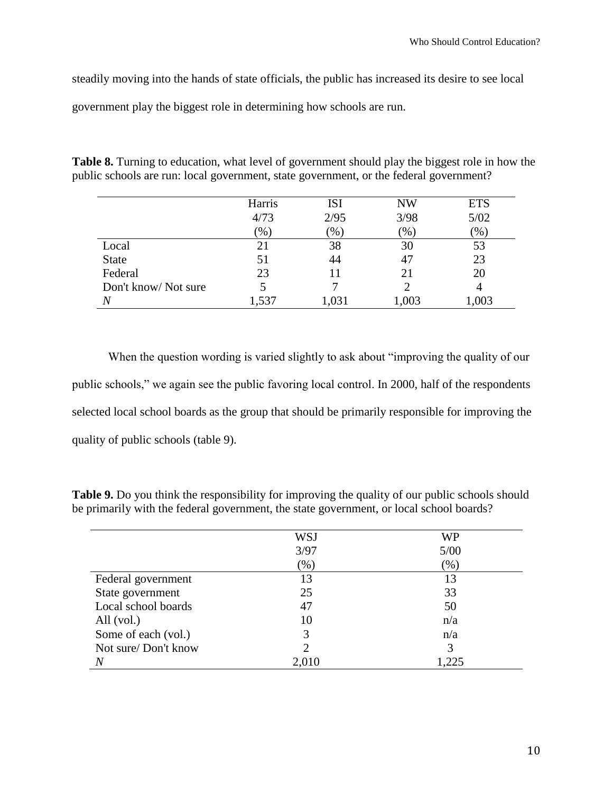steadily moving into the hands of state officials, the public has increased its desire to see local government play the biggest role in determining how schools are run.

| public schools are run: local government, state government, or the federal government? | <b>Table 8.</b> Turning to education, what level of government should play the biggest role in how the |
|----------------------------------------------------------------------------------------|--------------------------------------------------------------------------------------------------------|
|                                                                                        |                                                                                                        |
|                                                                                        |                                                                                                        |

|                     | Harris                   | <b>ISI</b>               | <b>NW</b> | <b>ETS</b> |
|---------------------|--------------------------|--------------------------|-----------|------------|
|                     | 4/73                     | 2/95                     | 3/98      | 5/02       |
|                     | $\gamma$ <sup>(0</sup> ) | $\gamma$ <sup>(0</sup> ) | (% )      | (96)       |
| Local               |                          | 38                       | 30        | 53         |
| <b>State</b>        | 51                       | 44                       | 47        | 23         |
| Federal             | 23                       |                          | 21        | 20         |
| Don't know/Not sure |                          |                          |           |            |
|                     | 1,537                    |                          | 1,003     | ,003       |

When the question wording is varied slightly to ask about "improving the quality of our public schools," we again see the public favoring local control. In 2000, half of the respondents selected local school boards as the group that should be primarily responsible for improving the quality of public schools (table 9).

**Table 9.** Do you think the responsibility for improving the quality of our public schools should be primarily with the federal government, the state government, or local school boards?

|                     | WSJ   | WP     |
|---------------------|-------|--------|
|                     | 3/97  | 5/00   |
|                     | (% )  | $(\%)$ |
| Federal government  | 13    | 13     |
| State government    | 25    | 33     |
| Local school boards | 47    | 50     |
| All $(vol.)$        | 10    | n/a    |
| Some of each (vol.) |       | n/a    |
| Not sure/Don't know |       | 3      |
| N                   | 2,010 | 1225   |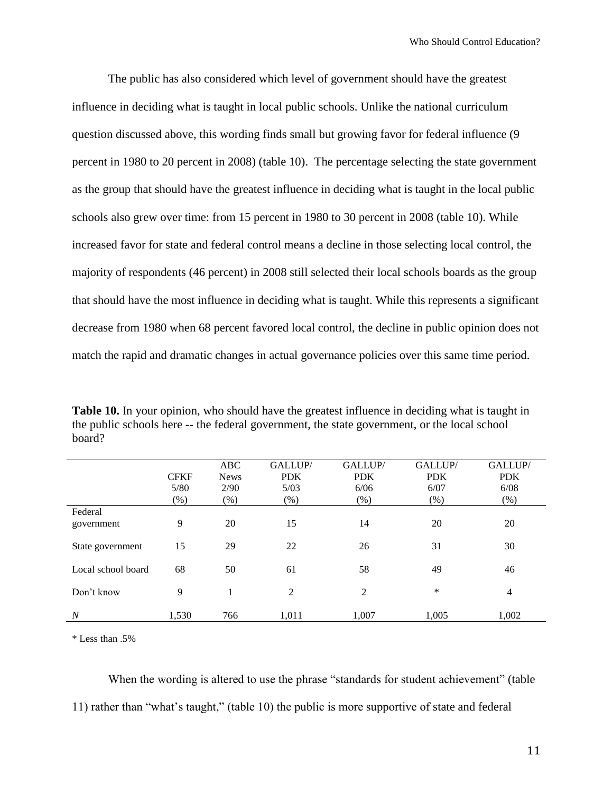The public has also considered which level of government should have the greatest influence in deciding what is taught in local public schools. Unlike the national curriculum question discussed above, this wording finds small but growing favor for federal influence (9 percent in 1980 to 20 percent in 2008) (table 10). The percentage selecting the state government as the group that should have the greatest influence in deciding what is taught in the local public schools also grew over time: from 15 percent in 1980 to 30 percent in 2008 (table 10). While increased favor for state and federal control means a decline in those selecting local control, the majority of respondents (46 percent) in 2008 still selected their local schools boards as the group that should have the most influence in deciding what is taught. While this represents a significant decrease from 1980 when 68 percent favored local control, the decline in public opinion does not match the rapid and dramatic changes in actual governance policies over this same time period.

**Table 10.** In your opinion, who should have the greatest influence in deciding what is taught in the public schools here -- the federal government, the state government, or the local school board?

|                    |             | ABC         | GALLUP/    | GALLUP/    | GALLUP/    | GALLUP/        |
|--------------------|-------------|-------------|------------|------------|------------|----------------|
|                    | <b>CFKF</b> | <b>News</b> | <b>PDK</b> | <b>PDK</b> | <b>PDK</b> | <b>PDK</b>     |
|                    | 5/80        | 2/90        | 5/03       | 6/06       | 6/07       | 6/08           |
|                    | $(\% )$     | $(\%)$      | (% )       | $(\%)$     | $(\%)$     | $(\%)$         |
| Federal            |             |             |            |            |            |                |
| government         | 9           | 20          | 15         | 14         | 20         | 20             |
|                    |             |             |            |            |            |                |
| State government   | 15          | 29          | 22         | 26         | 31         | 30             |
|                    |             |             |            |            |            |                |
| Local school board | 68          | 50          | 61         | 58         | 49         | 46             |
| Don't know         | 9           | 1           | 2          | 2          | *          | $\overline{4}$ |
|                    |             |             |            |            |            |                |
| $\overline{N}$     | 1,530       | 766         | 1,011      | 1,007      | 1,005      | 1,002          |

\* Less than .5%

When the wording is altered to use the phrase "standards for student achievement" (table 11) rather than "what's taught," (table 10) the public is more supportive of state and federal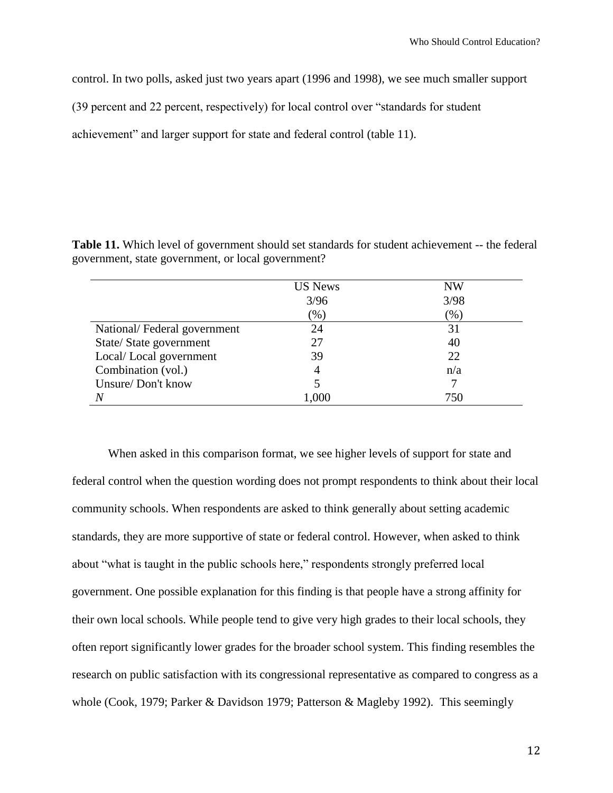control. In two polls, asked just two years apart (1996 and 1998), we see much smaller support

(39 percent and 22 percent, respectively) for local control over "standards for student

achievement" and larger support for state and federal control (table 11).

**Table 11.** Which level of government should set standards for student achievement -- the federal government, state government, or local government?

|                             | <b>US News</b> | <b>NW</b> |
|-----------------------------|----------------|-----------|
|                             | 3/96           | 3/98      |
|                             | (%)            | (%)       |
| National/Federal government | 24             | 31        |
| State/State government      | 27             | 40        |
| Local/Local government      | 39             | 22        |
| Combination (vol.)          | 4              | n/a       |
| Unsure/Don't know           |                |           |
| $\overline{N}$              | 1,000          | 750       |

When asked in this comparison format, we see higher levels of support for state and federal control when the question wording does not prompt respondents to think about their local community schools. When respondents are asked to think generally about setting academic standards, they are more supportive of state or federal control. However, when asked to think about "what is taught in the public schools here," respondents strongly preferred local government. One possible explanation for this finding is that people have a strong affinity for their own local schools. While people tend to give very high grades to their local schools, they often report significantly lower grades for the broader school system. This finding resembles the research on public satisfaction with its congressional representative as compared to congress as a whole (Cook, 1979; Parker & Davidson 1979; Patterson & Magleby 1992). This seemingly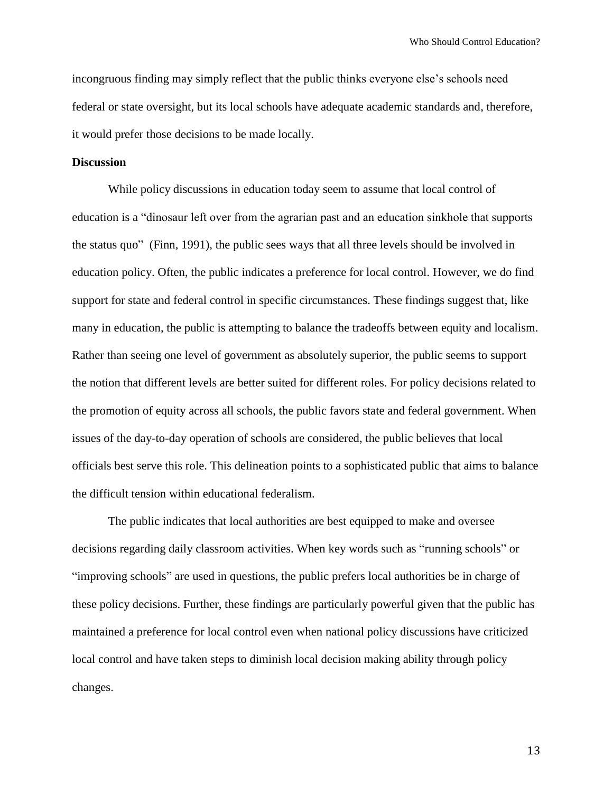incongruous finding may simply reflect that the public thinks everyone else's schools need federal or state oversight, but its local schools have adequate academic standards and, therefore, it would prefer those decisions to be made locally.

#### **Discussion**

While policy discussions in education today seem to assume that local control of education is a "dinosaur left over from the agrarian past and an education sinkhole that supports the status quo" (Finn, 1991), the public sees ways that all three levels should be involved in education policy. Often, the public indicates a preference for local control. However, we do find support for state and federal control in specific circumstances. These findings suggest that, like many in education, the public is attempting to balance the tradeoffs between equity and localism. Rather than seeing one level of government as absolutely superior, the public seems to support the notion that different levels are better suited for different roles. For policy decisions related to the promotion of equity across all schools, the public favors state and federal government. When issues of the day-to-day operation of schools are considered, the public believes that local officials best serve this role. This delineation points to a sophisticated public that aims to balance the difficult tension within educational federalism.

The public indicates that local authorities are best equipped to make and oversee decisions regarding daily classroom activities. When key words such as "running schools" or "improving schools" are used in questions, the public prefers local authorities be in charge of these policy decisions. Further, these findings are particularly powerful given that the public has maintained a preference for local control even when national policy discussions have criticized local control and have taken steps to diminish local decision making ability through policy changes.

13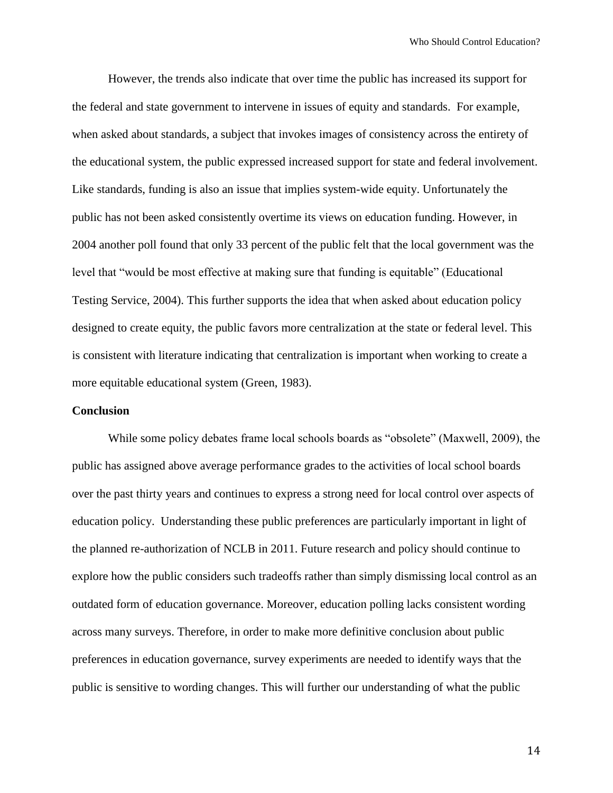However, the trends also indicate that over time the public has increased its support for the federal and state government to intervene in issues of equity and standards. For example, when asked about standards, a subject that invokes images of consistency across the entirety of the educational system, the public expressed increased support for state and federal involvement. Like standards, funding is also an issue that implies system-wide equity. Unfortunately the public has not been asked consistently overtime its views on education funding. However, in 2004 another poll found that only 33 percent of the public felt that the local government was the level that "would be most effective at making sure that funding is equitable" (Educational Testing Service, 2004). This further supports the idea that when asked about education policy designed to create equity, the public favors more centralization at the state or federal level. This is consistent with literature indicating that centralization is important when working to create a more equitable educational system (Green, 1983).

#### **Conclusion**

While some policy debates frame local schools boards as "obsolete" (Maxwell, 2009), the public has assigned above average performance grades to the activities of local school boards over the past thirty years and continues to express a strong need for local control over aspects of education policy. Understanding these public preferences are particularly important in light of the planned re-authorization of NCLB in 2011. Future research and policy should continue to explore how the public considers such tradeoffs rather than simply dismissing local control as an outdated form of education governance. Moreover, education polling lacks consistent wording across many surveys. Therefore, in order to make more definitive conclusion about public preferences in education governance, survey experiments are needed to identify ways that the public is sensitive to wording changes. This will further our understanding of what the public

14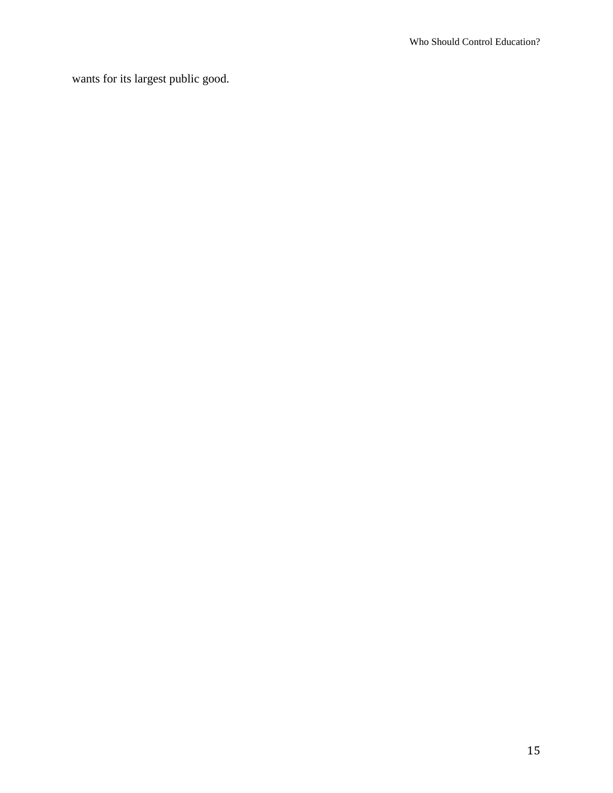wants for its largest public good.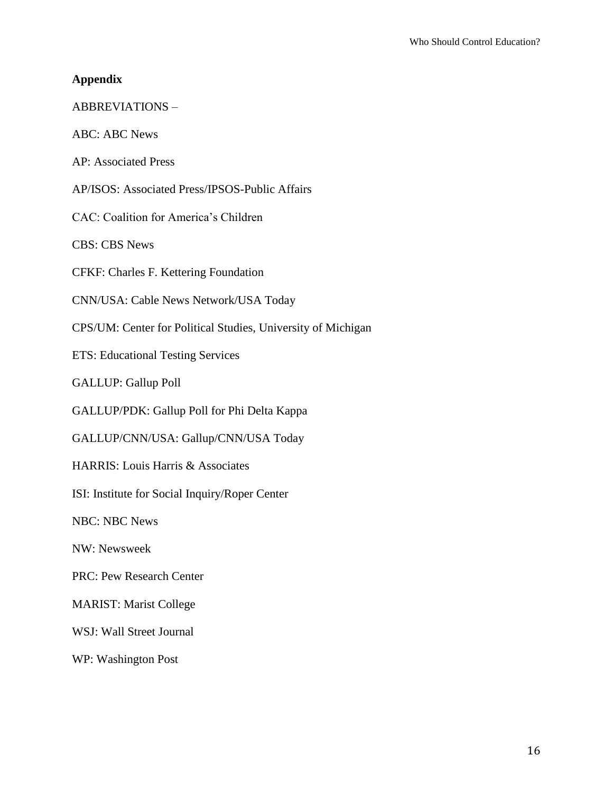### **Appendix**

## ABBREVIATIONS –

ABC: ABC News

AP: Associated Press

AP/ISOS: Associated Press/IPSOS-Public Affairs

CAC: Coalition for America's Children

CBS: CBS News

CFKF: Charles F. Kettering Foundation

CNN/USA: Cable News Network/USA Today

CPS/UM: Center for Political Studies, University of Michigan

ETS: Educational Testing Services

GALLUP: Gallup Poll

GALLUP/PDK: Gallup Poll for Phi Delta Kappa

GALLUP/CNN/USA: Gallup/CNN/USA Today

HARRIS: Louis Harris & Associates

ISI: Institute for Social Inquiry/Roper Center

NBC: NBC News

NW: Newsweek

PRC: Pew Research Center

MARIST: Marist College

WSJ: Wall Street Journal

WP: Washington Post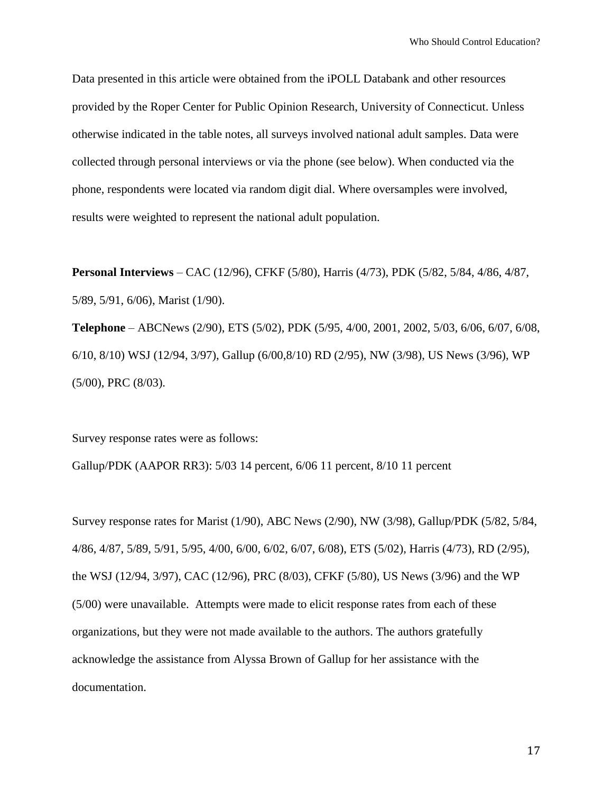Data presented in this article were obtained from the iPOLL Databank and other resources provided by the Roper Center for Public Opinion Research, University of Connecticut. Unless otherwise indicated in the table notes, all surveys involved national adult samples. Data were collected through personal interviews or via the phone (see below). When conducted via the phone, respondents were located via random digit dial. Where oversamples were involved, results were weighted to represent the national adult population.

**Personal Interviews** – CAC (12/96), CFKF (5/80), Harris (4/73), PDK (5/82, 5/84, 4/86, 4/87, 5/89, 5/91, 6/06), Marist (1/90).

**Telephone** – ABCNews (2/90), ETS (5/02), PDK (5/95, 4/00, 2001, 2002, 5/03, 6/06, 6/07, 6/08, 6/10, 8/10) WSJ (12/94, 3/97), Gallup (6/00,8/10) RD (2/95), NW (3/98), US News (3/96), WP (5/00), PRC (8/03).

Survey response rates were as follows:

Gallup/PDK (AAPOR RR3): 5/03 14 percent, 6/06 11 percent, 8/10 11 percent

Survey response rates for Marist (1/90), ABC News (2/90), NW (3/98), Gallup/PDK (5/82, 5/84, 4/86, 4/87, 5/89, 5/91, 5/95, 4/00, 6/00, 6/02, 6/07, 6/08), ETS (5/02), Harris (4/73), RD (2/95), the WSJ (12/94, 3/97), CAC (12/96), PRC (8/03), CFKF (5/80), US News (3/96) and the WP (5/00) were unavailable. Attempts were made to elicit response rates from each of these organizations, but they were not made available to the authors. The authors gratefully acknowledge the assistance from Alyssa Brown of Gallup for her assistance with the documentation.

17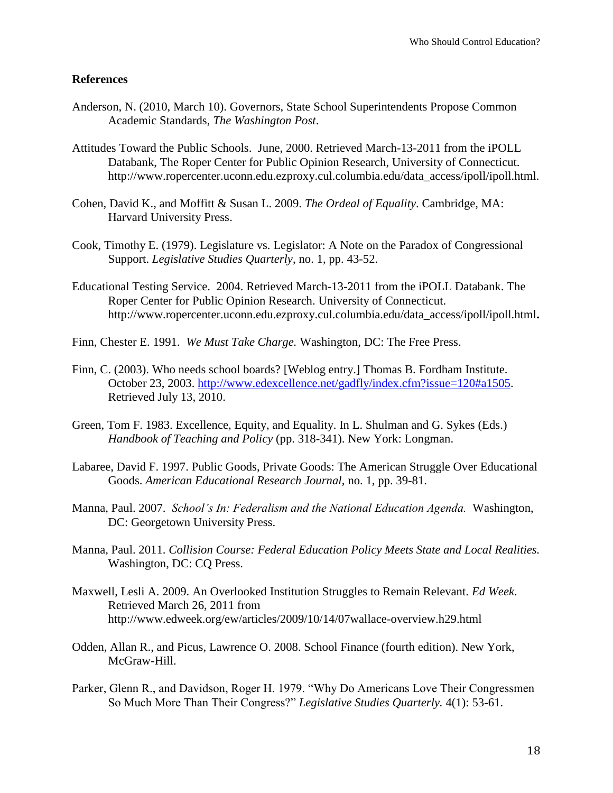#### **References**

- Anderson, N. (2010, March 10). Governors, State School Superintendents Propose Common Academic Standards, *The Washington Post*.
- Attitudes Toward the Public Schools. June, 2000. Retrieved March-13-2011 from the iPOLL Databank, The Roper Center for Public Opinion Research, University of Connecticut. http://www.ropercenter.uconn.edu.ezproxy.cul.columbia.edu/data\_access/ipoll/ipoll.html.
- Cohen, David K., and Moffitt & Susan L. 2009. *The Ordeal of Equality*. Cambridge, MA: Harvard University Press.
- Cook, Timothy E. (1979). Legislature vs. Legislator: A Note on the Paradox of Congressional Support. *Legislative Studies Quarterly*, no. 1, pp. 43-52.
- Educational Testing Service. 2004. Retrieved March-13-2011 from the iPOLL Databank. The Roper Center for Public Opinion Research. University of Connecticut. http://www.ropercenter.uconn.edu.ezproxy.cul.columbia.edu/data\_access/ipoll/ipoll.html**.**
- Finn, Chester E. 1991. *We Must Take Charge.* Washington, DC: The Free Press.
- Finn, C. (2003). Who needs school boards? [Weblog entry.] Thomas B. Fordham Institute. October 23, 2003. [http://www.edexcellence.net/gadfly/index.cfm?issue=120#a1505.](http://www.edexcellence.net/gadfly/index.cfm?issue=120#a1505) Retrieved July 13, 2010.
- Green, Tom F. 1983. Excellence, Equity, and Equality. In L. Shulman and G. Sykes (Eds.) *Handbook of Teaching and Policy* (pp. 318-341). New York: Longman.
- Labaree, David F. 1997. Public Goods, Private Goods: The American Struggle Over Educational Goods. *American Educational Research Journal*, no. 1, pp. 39-81.
- Manna, Paul. 2007. *School's In: Federalism and the National Education Agenda.* Washington, DC: Georgetown University Press.
- Manna, Paul. 2011. *Collision Course: Federal Education Policy Meets State and Local Realities.* Washington, DC: CQ Press.
- Maxwell, Lesli A. 2009. An Overlooked Institution Struggles to Remain Relevant. *Ed Week*. Retrieved March 26, 2011 from http://www.edweek.org/ew/articles/2009/10/14/07wallace-overview.h29.html
- Odden, Allan R., and Picus, Lawrence O. 2008. School Finance (fourth edition). New York, McGraw-Hill.
- Parker, Glenn R., and Davidson, Roger H. 1979. "Why Do Americans Love Their Congressmen So Much More Than Their Congress?" *Legislative Studies Quarterly.* 4(1): 53-61.